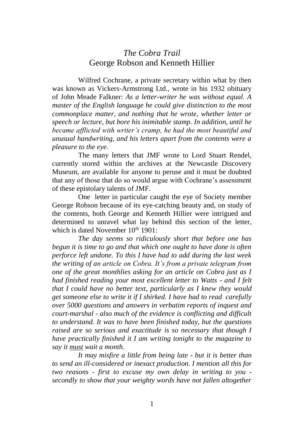# *The Cobra Trail* George Robson and Kenneth Hillier

Wilfred Cochrane, a private secretary within what by then was known as Vickers-Armstrong Ltd., wrote in his 1932 obituary of John Meade Falkner: *As a letter-writer he was without equal. A master of the English language he could give distinction to the most commonplace matter, and nothing that he wrote, whether letter or speech or lecture, but bore his inimitable stamp. In addition, until he became afflicted with writer's cramp, he had the most beautiful and unusual handwriting, and his letters apart from the contents were a pleasure to the eye.*

The many letters that JMF wrote to Lord Stuart Rendel, currently stored within the archives at the Newcastle Discovery Museum, are available for anyone to peruse and it must be doubted that any of those that do so would argue with Cochrane's assessment of these epistolary talents of JMF.

One letter in particular caught the eye of Society member George Robson because of its eye-catching beauty and, on study of the contents, both George and Kenneth Hillier were intrigued and determined to unravel what lay behind this section of the letter, which is dated November  $10^{th}$  1901:

*The day seems so ridiculously short that before one has begun it is time to go and that which one ought to have done is often perforce left undone. To this I have had to add during the last week the writing of an article on Cobra. It's from a private telegram from one of the great monthlies asking for an article on Cobra just as I had finished reading your most excellent letter to Watts - and I felt that I could have no better text, particularly as I knew they would get someone else to write it if I shirked. I have had to read carefully over 5000 questions and answers in verbatim reports of inquest and court-marshal - also much of the evidence is conflicting and difficult to understand. It was to have been finished today, but the questions raised are so serious and exactitude is so necessary that though I have practically finished it I am writing tonight to the magazine to say it must wait a month.*

*It may misfire a little from being late - but it is better than to send an ill-considered or inexact production. I mention all this for two reasons - first to excuse my own delay in writing to you secondly to show that your weighty words have not fallen altogether*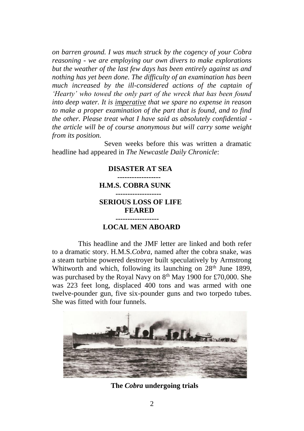*on barren ground. I was much struck by the cogency of your Cobra reasoning - we are employing our own divers to make explorations but the weather of the last few days has been entirely against us and nothing has yet been done. The difficulty of an examination has been much increased by the ill-considered actions of the captain of 'Hearty' who towed the only part of the wreck that has been found into deep water. It is imperative that we spare no expense in reason to make a proper examination of the part that is found, and to find the other. Please treat what I have said as absolutely confidential the article will be of course anonymous but will carry some weight from its position.*

Seven weeks before this was written a dramatic headline had appeared in *The Newcastle Daily Chronicle*:

### **DISASTER AT SEA ------------------ H.M.S. COBRA SUNK ------------------- SERIOUS LOSS OF LIFE FEARED ------------------ LOCAL MEN ABOARD**

This headline and the JMF letter are linked and both refer to a dramatic story. H.M.S.*Cobra*, named after the cobra snake, was a steam turbine powered destroyer built speculatively by Armstrong Whitworth and which, following its launching on 28<sup>th</sup> June 1899. was purchased by the Royal Navy on 8<sup>th</sup> May 1900 for £70,000. She was 223 feet long, displaced 400 tons and was armed with one twelve-pounder gun, five six-pounder guns and two torpedo tubes. She was fitted with four funnels.



**The** *Cobra* **undergoing trials**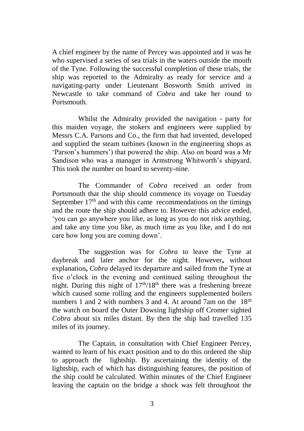A chief engineer by the name of Percey was appointed and it was he who supervised a series of sea trials in the waters outside the mouth of the Tyne. Following the successful completion of these trials, the ship was reported to the Admiralty as ready for service and a navigating-party under Lieutenant Bosworth Smith arrived in Newcastle to take command of *Cobra* and take her round to **Portsmouth** 

Whilst the Admiralty provided the navigation - party for this maiden voyage, the stokers and engineers were supplied by Messrs C.A. Parsons and Co., the firm that had invented, developed and supplied the steam turbines (known in the engineering shops as 'Parson's hummers') that powered the ship. Also on board was a Mr Sandison who was a manager in Armstrong Whitworth's shipyard. This took the number on board to seventy-nine.

The Commander of *Cobra* received an order from Portsmouth that the ship should commence its voyage on Tuesday September  $17<sup>th</sup>$  and with this came recommendations on the timings and the route the ship should adhere to. However this advice ended, 'you can go anywhere you like, as long as you do not risk anything, and take any time you like, as much time as you like, and I do not care how long you are coming down'.

The suggestion was for *Cobra* to leave the Tyne at daybreak and later anchor for the night. However**,** without explanation**,** *Cobra* delayed its departure and sailed from the Tyne at five o'clock in the evening and continued sailing throughout the night. During this night of  $17<sup>th</sup>/18<sup>th</sup>$  there was a freshening breeze which caused some rolling and the engineers supplemented boilers numbers 1 and 2 with numbers 3 and 4. At around 7am on the  $18<sup>th</sup>$ the watch on board the Outer Dowsing lightship off Cromer sighted *Cobra* about six miles distant. By then the ship had travelled 135 miles of its journey.

The Captain, in consultation with Chief Engineer Percey, wanted to learn of his exact position and to do this ordered the ship to approach the lightship. By ascertaining the identity of the lightship, each of which has distinguishing features, the position of the ship could be calculated. Within minutes of the Chief Engineer leaving the captain on the bridge a shock was felt throughout the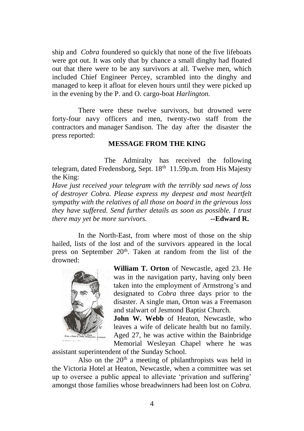ship and *Cobra* foundered so quickly that none of the five lifeboats were got out. It was only that by chance a small dinghy had floated out that there were to be any survivors at all. Twelve men, which included Chief Engineer Percey, scrambled into the dinghy and managed to keep it afloat for eleven hours until they were picked up in the evening by the P. and O. cargo-boat *Harlington.*

There were these twelve survivors, but drowned were forty-four navy officers and men, twenty-two staff from the contractors and manager Sandison. The day after the disaster the press reported:

#### **MESSAGE FROM THE KING**

The Admiralty has received the following telegram, dated Fredensborg, Sept. 18<sup>th</sup> 11.59p.m. from His Majesty the King:

*Have just received your telegram with the terribly sad news of loss of destroyer Cobra. Please express my deepest and most heartfelt sympathy with the relatives of all those on board in the grievous loss they have suffered. Send further details as soon as possible. I trust there may yet be more survivors.* **--Edward R.** 

In the North-East, from where most of those on the ship hailed, lists of the lost and of the survivors appeared in the local press on September 20<sup>th</sup>. Taken at random from the list of the drowned:



**William T. Orton** of Newcastle, aged 23. He was in the navigation party, having only been taken into the employment of Armstrong's and designated to *Cobra* three days prior to the disaster. A single man, Orton was a Freemason and stalwart of Jesmond Baptist Church.

**John W. Webb** of Heaton, Newcastle, who leaves a wife of delicate health but no family. Aged 27, he was active within the Bainbridge Memorial Wesleyan Chapel where he was

assistant superintendent of the Sunday School.

Also on the  $20<sup>th</sup>$  a meeting of philanthropists was held in the Victoria Hotel at Heaton, Newcastle, when a committee was set up to oversee a public appeal to alleviate 'privation and suffering' amongst those families whose breadwinners had been lost on *Cobra.*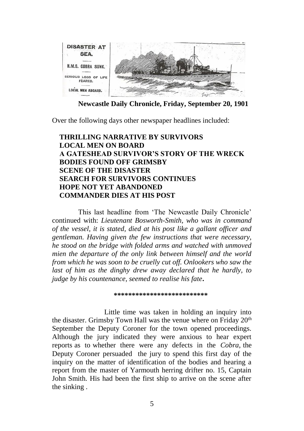

**Newcastle Daily Chronicle, Friday, September 20, 1901**

Over the following days other newspaper headlines included:

## **THRILLING NARRATIVE BY SURVIVORS LOCAL MEN ON BOARD A GATESHEAD SURVIVOR'S STORY OF THE WRECK BODIES FOUND OFF GRIMSBY SCENE OF THE DISASTER SEARCH FOR SURVIVORS CONTINUES HOPE NOT YET ABANDONED COMMANDER DIES AT HIS POST**

This last headline from 'The Newcastle Daily Chronicle' continued with: *Lieutenant Bosworth-Smith, who was in command of the vessel, it is stated, died at his post like a gallant officer and gentleman. Having given the few instructions that were necessary, he stood on the bridge with folded arms and watched with unmoved mien the departure of the only link between himself and the world from which he was soon to be cruelly cut off. Onlookers who saw the last of him as the dinghy drew away declared that he hardly, to judge by his countenance, seemed to realise his fate***.** 

 **\*\*\*\*\*\*\*\*\*\*\*\*\*\*\*\*\*\*\*\*\*\*\*\*\*\***

Little time was taken in holding an inquiry into the disaster. Grimsby Town Hall was the venue where on Friday  $20<sup>th</sup>$ September the Deputy Coroner for the town opened proceedings. Although the jury indicated they were anxious to hear expert reports as to whether there were any defects in the *Cobra*, the Deputy Coroner persuaded the jury to spend this first day of the inquiry on the matter of identification of the bodies and hearing a report from the master of Yarmouth herring drifter no. 15, Captain John Smith. His had been the first ship to arrive on the scene after the sinking .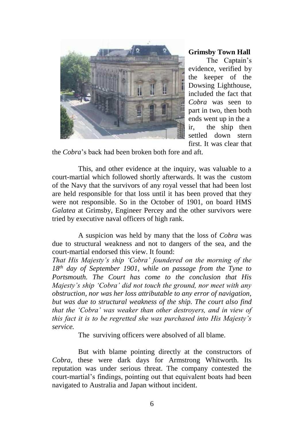

**Grimsby Town Hall**

 The Captain's evidence, verified by the keeper of the Dowsing Lighthouse, included the fact that *Cobra* was seen to part in two, then both ends went up in the a ir, the ship then settled down stern first. It was clear that

the *Cobra*'s back had been broken both fore and aft.

This, and other evidence at the inquiry, was valuable to a court-martial which followed shortly afterwards. It was the custom of the Navy that the survivors of any royal vessel that had been lost are held responsible for that loss until it has been proved that they were not responsible. So in the October of 1901, on board HMS *Galatea* at Grimsby, Engineer Percey and the other survivors were tried by executive naval officers of high rank.

A suspicion was held by many that the loss of *Cobra* was due to structural weakness and not to dangers of the sea, and the court-martial endorsed this view. It found:

*That His Majesty's ship 'Cobra' foundered on the morning of the 18th day of September 1901, while on passage from the Tyne to Portsmouth. The Court has come to the conclusion that His Majesty's ship 'Cobra' did not touch the ground, nor meet with any obstruction, nor was her loss attributable to any error of navigation, but was due to structural weakness of the ship. The court also find that the 'Cobra' was weaker than other destroyers, and in view of this fact it is to be regretted she was purchased into His Majesty's service.*

The surviving officers were absolved of all blame.

But with blame pointing directly at the constructors of *Cobra*, these were dark days for Armstrong Whitworth. Its reputation was under serious threat. The company contested the court-martial's findings, pointing out that equivalent boats had been navigated to Australia and Japan without incident.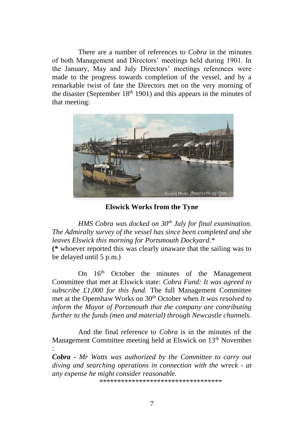There are a number of references to *Cobra* in the minutes of both Management and Directors' meetings held during 1901. In the January, May and July Directors' meetings references were made to the progress towards completion of the vessel, and by a remarkable twist of fate the Directors met on the very morning of the disaster (September  $18<sup>th</sup> 1901$ ) and this appears in the minutes of that meeting:



**Elswick Works from the Tyne**

*HMS Cobra was docked on 30th July for final examination. The Admiralty survey of the vessel has since been completed and she leaves Elswick this morning for Portsmouth Dockyard.\**

**(\*** whoever reported this was clearly unaware that the sailing was to be delayed until 5 p.m.)

On 16<sup>th</sup> October the minutes of the Management Committee that met at Elswick state: *Cobra Fund: It was agreed to subscribe £1,000 for this fund.* The full Management Committee met at the Openshaw Works on 30th October when *It was resolved to inform the Mayor of Portsmouth that the company are contributing further to the funds (men and material) through Newcastle channels.*

And the final reference to *Cobra* is in the minutes of the Management Committee meeting held at Elswick on 13<sup>th</sup> November :

*Cobra - Mr Watts was authorized by the Committee to carry out diving and searching operations in connection with the wreck - at any expense he might consider reasonable.*

\*\*\*\*\*\*\*\*\*\*\*\*\*\*\*\*\*\*\*\*\*\*\*\*\*\*\*\*\*\*\*\*\*\*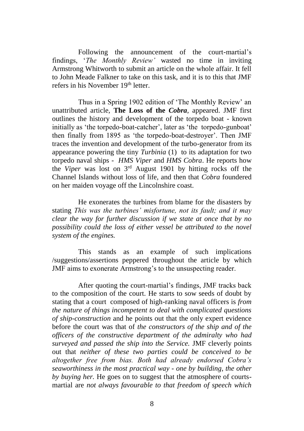Following the announcement of the court-martial's findings, '*The Monthly Review'* wasted no time in inviting Armstrong Whitworth to submit an article on the whole affair. It fell to John Meade Falkner to take on this task, and it is to this that JMF refers in his November 19th letter.

Thus in a Spring 1902 edition of 'The Monthly Review' an unattributed article, **The Loss of the** *Cobra*, appeared. JMF first outlines the history and development of the torpedo boat - known initially as 'the torpedo-boat-catcher', later as 'the torpedo-gunboat' then finally from 1895 as 'the torpedo-boat-destroyer'. Then JMF traces the invention and development of the turbo-generator from its appearance powering the tiny *Turbinia* (1) to its adaptation for two torpedo naval ships - *HMS Viper* and *HMS Cobra*. He reports how the *Viper* was lost on 3rd August 1901 by hitting rocks off the Channel Islands without loss of life, and then that *Cobra* foundered on her maiden voyage off the Lincolnshire coast.

He exonerates the turbines from blame for the disasters by stating *This was the turbines' misfortune, not its fault; and it may clear the way for further discussion if we state at once that by no possibility could the loss of either vessel be attributed to the novel system of the engines.*

This stands as an example of such implications /suggestions/assertions peppered throughout the article by which JMF aims to exonerate Armstrong's to the unsuspecting reader.

After quoting the court-martial's findings, JMF tracks back to the composition of the court. He starts to sow seeds of doubt by stating that a court composed of high-ranking naval officers is *from the nature of things incompetent to deal with complicated questions of ship-construction* and he points out that the only expert evidence before the court was that of *the constructors of the ship and of the officers of the constructive department of the admiralty who had surveyed and passed the ship into the Service.* JMF cleverly points out that *neither of these two parties could be conceived to be altogether free from bias. Both had already endorsed Cobra's seaworthiness in the most practical way - one by building, the other by buying her.* He goes on to suggest that the atmosphere of courtsmartial are *not always favourable to that freedom of speech which*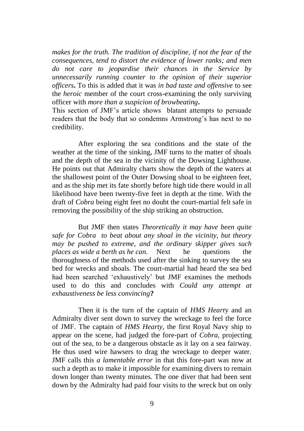*makes for the truth. The tradition of discipline, if not the fear of the consequences, tend to distort the evidence of lower ranks; and men do not care to jeopardise their chances in the Service by unnecessarily running counter to the opinion of their superior officers***.** To this is added that it was *in bad taste and offensive* to see the *heroic* member of the court cross-examining the only surviving officer with *more than a suspicion of browbeating***.**

This section of JMF's article shows blatant attempts to persuade readers that the body that so condemns Armstrong's has next to no credibility.

After exploring the sea conditions and the state of the weather at the time of the sinking, JMF turns to the matter of shoals and the depth of the sea in the vicinity of the Dowsing Lighthouse. He points out that Admiralty charts show the depth of the waters at the shallowest point of the Outer Dowsing shoal to be eighteen feet, and as the ship met its fate shortly before high tide there would in all likelihood have been twenty-five feet in depth at the time. With the draft of *Cobra* being eight feet no doubt the court-martial felt safe in removing the possibility of the ship striking an obstruction.

But JMF then states *Theoretically it may have been quite safe for Cobra to beat about any shoal in the vicinity, but theory may be pushed to extreme, and the ordinary skipper gives such places as wide a berth as he can.* Next he questions the thoroughness of the methods used after the sinking to survey the sea bed for wrecks and shoals. The court-martial had heard the sea bed had been searched 'exhaustively' but JMF examines the methods used to do this and concludes with *Could any attempt at exhaustiveness be less convincing***?**

Then it is the turn of the captain of *HMS Heart*y and an Admiralty diver sent down to survey the wreckage to feel the force of JMF. The captain of *HMS Hearty,* the first Royal Navy ship to appear on the scene*,* had judged the fore-part of *Cobra,* projecting out of the sea*,* to be a dangerous obstacle as it lay on a sea fairway. He thus used wire hawsers to drag the wreckage to deeper water. JMF calls this *a lamentable error* in that this fore-part was now at such a depth as to make it impossible for examining divers to remain down longer than twenty minutes. The one diver that had been sent down by the Admiralty had paid four visits to the wreck but on only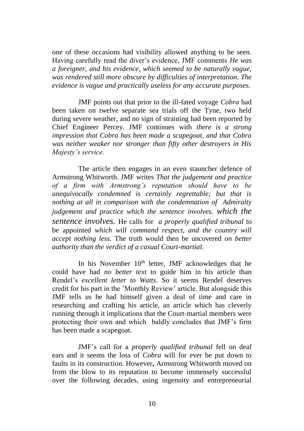one of these occasions had visibility allowed anything to be seen. Having carefully read the diver's evidence, JMF comments *He was a foreigner, and his evidence, which seemed to be naturally vague, was rendered still more obscure by difficulties of interpretation. The evidence is vague and practically useless for any accurate purposes.*

JMF points out that prior to the ill-fated voyage *Cobra* had been taken on twelve separate sea trials off the Tyne, two held during severe weather, and no sign of straining had been reported by Chief Engineer Percey. JMF continues with *there is a strong impression that Cobra has been made a scapegoat, and that Cobra was neither weaker nor stronger than fifty other destroyers in His Majesty's service.*

The article then engages in an even stauncher defence of Armstrong Whitworth. JMF writes *That the judgement and practice of a firm with Armstrong's reputation should have to be unequivocally condemned is certainly regrettable; but that is nothing at all in comparison with the condemnation of Admiralty judgement and practice which the sentence involves. which the sentence involves.* He calls for *a properly qualified tribunal* to be appointed *which will command respect, and the country will accept nothing less.* The truth would then be uncovered *on better authority than the verdict of a casual Court-martial.*

In his November  $10<sup>th</sup>$  letter, JMF acknowledges that he could have had *no better text* to guide him in his article than Rendel's *excellent letter to Watts*. So it seems Rendel deserves credit for his part in the 'Monthly Review' article. But alongside this JMF tells us he had himself given a deal of time and care in researching and crafting his article, an article which has cleverly running through it implications that the Court-martial members were protecting their own and which baldly concludes that JMF's firm has been made a scapegoat.

JMF's call for a *properly qualified tribunal* fell on deaf ears and it seems the loss of *Cobra* will for ever be put down to faults in its construction. However**,** Armstrong Whitworth moved on from the blow to its reputation to become immensely successful over the following decades, using ingenuity and entrepreneurial